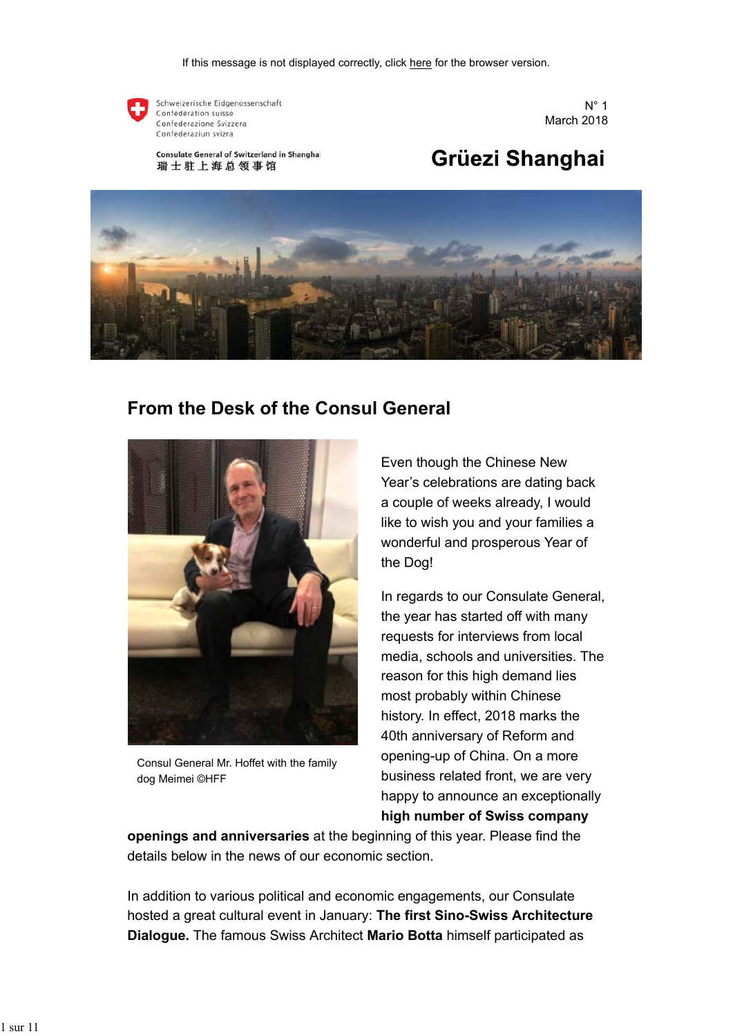

Schweizerische Eidgenossenschaft Confédération suisse Confederazione Svizzera Confederaziun svizra

Consulate General of Switzerland in Shanghai 瑞士驻上海总领事馆

 $N^{\circ}$  1 March 2018

# Grüezi Shanghai



## **From the Desk of the Consul General**



Consul General Mr. Hoffet with the family dog Meimei ©HFF

Even though the Chinese New Year's celebrations are dating back a couple of weeks already, I would like to wish you and your families a wonderful and prosperous Year of the Dog!

In regards to our Consulate General, the year has started off with many requests for interviews from local media, schools and universities. The reason for this high demand lies most probably within Chinese history. In effect, 2018 marks the 40th anniversary of Reform and opening-up of China. On a more business related front, we are very happy to announce an exceptionally **high number of Swiss company**

**openings and anniversaries** at the beginning of this year. Please find the details below in the news of our economic section.

In addition to various political and economic engagements, our Consulate hosted a great cultural event in January: **The first Sino-Swiss Architecture Dialogue.** The famous Swiss Architect **Mario Botta** himself participated as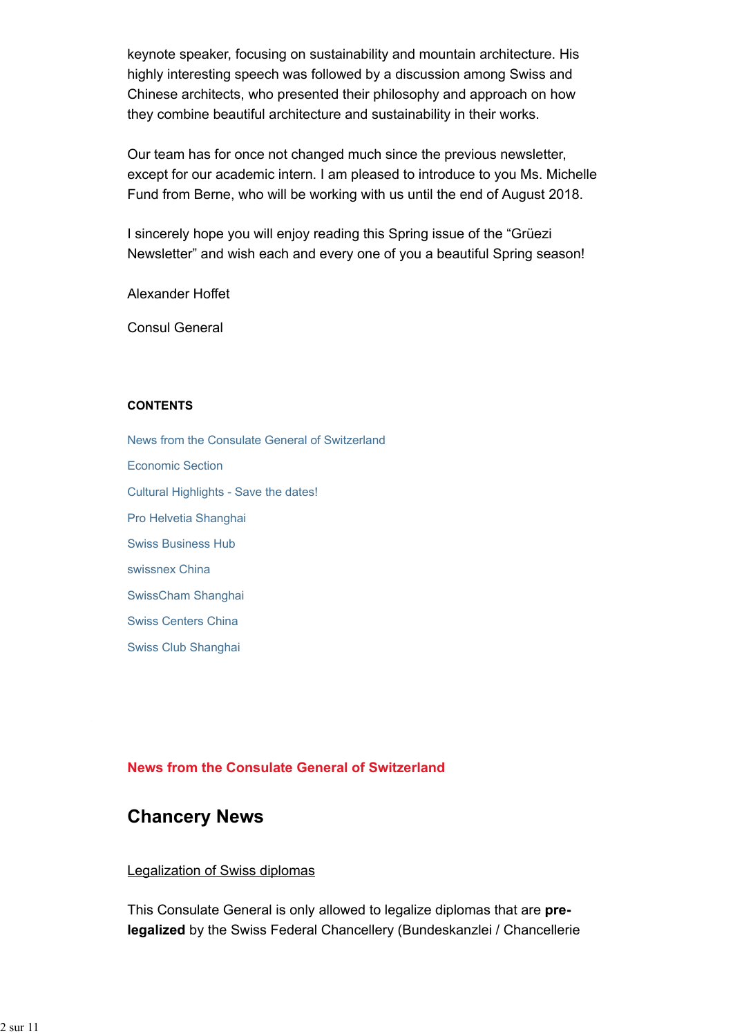keynote speaker, focusing on sustainability and mountain architecture. His highly interesting speech was followed by a discussion among Swiss and Chinese architects, who presented their philosophy and approach on how they combine beautiful architecture and sustainability in their works.

Our team has for once not changed much since the previous newsletter, except for our academic intern. I am pleased to introduce to you Ms. Michelle Fund from Berne, who will be working with us until the end of August 2018.

I sincerely hope you will enjoy reading this Spring issue of the "Grüezi Newsletter" and wish each and every one of you a beautiful Spring season!

Alexander Hoffet

Consul General

#### **CONTENTS**

News from the Consulate General of Switzerland Economic Section Cultural Highlights - Save the dates! Pro Helvetia Shanghai Swiss Business Hub swissnex China SwissCham Shanghai Swiss Centers China Swiss Club Shanghai

### **News from the Consulate General of Switzerland**

## **Chancery News**

### Legalization of Swiss diplomas

This Consulate General is only allowed to legalize diplomas that are **prelegalized** by the Swiss Federal Chancellery (Bundeskanzlei / Chancellerie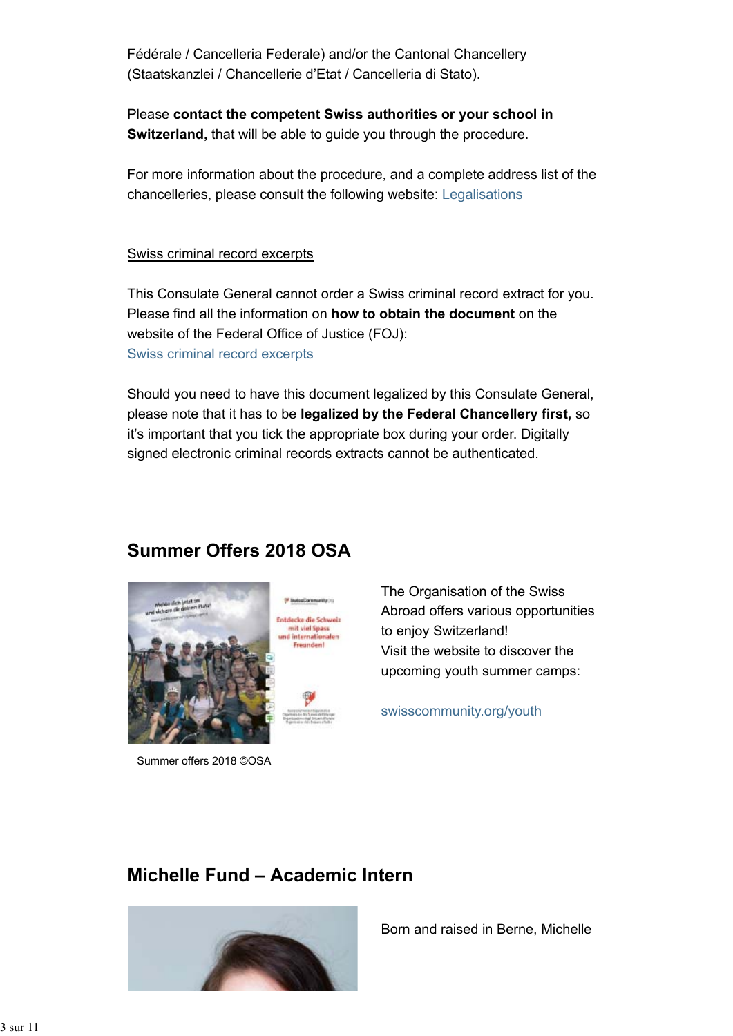Fédérale / Cancelleria Federale) and/or the Cantonal Chancellery (Staatskanzlei / Chancellerie d'Etat / Cancelleria di Stato).

Please **contact the competent Swiss authorities or your school in Switzerland,** that will be able to guide you through the procedure.

For more information about the procedure, and a complete address list of the chancelleries, please consult the following website: Legalisations

### Swiss criminal record excerpts

This Consulate General cannot order a Swiss criminal record extract for you. Please find all the information on **how to obtain the document** on the website of the Federal Office of Justice (FOJ): Swiss criminal record excerpts

Should you need to have this document legalized by this Consulate General, please note that it has to be **legalized by the Federal Chancellery first,** so it's important that you tick the appropriate box during your order. Digitally signed electronic criminal records extracts cannot be authenticated.

# **Summer Offers 2018 OSA**

P Suite Community (1)

Freunden!



Summer offers 2018 ©OSA

The Organisation of the Swiss Abroad offers various opportunities to enjoy Switzerland! Visit the website to discover the upcoming youth summer camps:

swisscommunity.org/youth

# **Michelle Fund – Academic Intern**



Born and raised in Berne, Michelle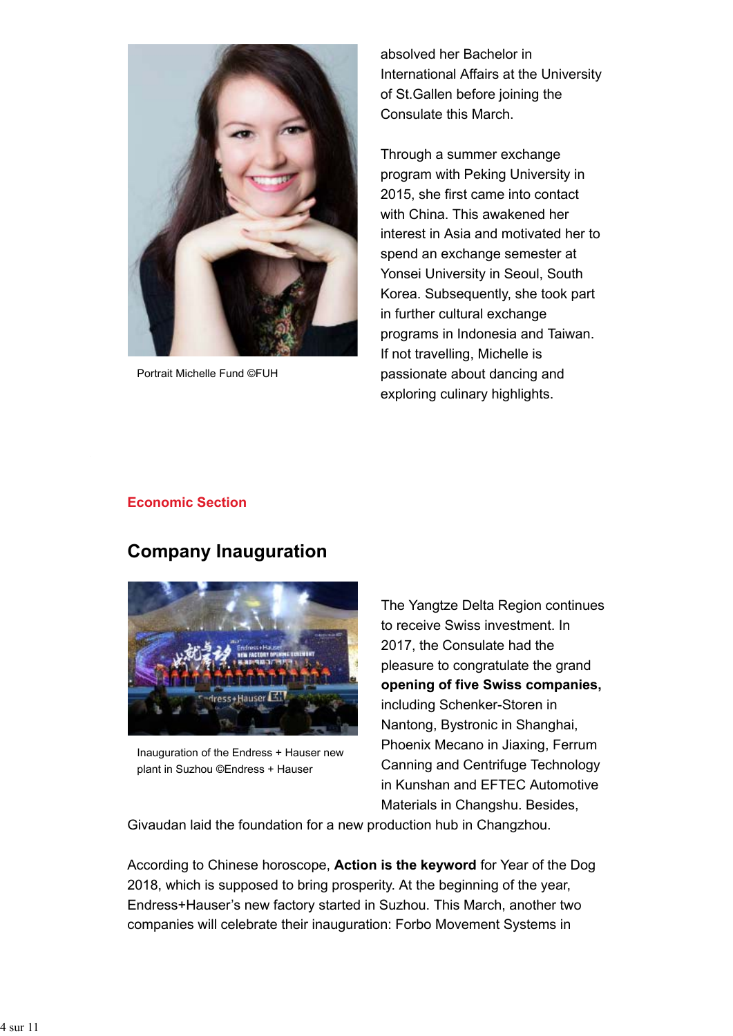

Portrait Michelle Fund ©FUH

absolved her Bachelor in International Affairs at the University of St.Gallen before joining the Consulate this March.

Through a summer exchange program with Peking University in 2015, she first came into contact with China. This awakened her interest in Asia and motivated her to spend an exchange semester at Yonsei University in Seoul, South Korea. Subsequently, she took part in further cultural exchange programs in Indonesia and Taiwan. If not travelling, Michelle is passionate about dancing and exploring culinary highlights.

### **Economic Section**

## **Company Inauguration**



Inauguration of the Endress + Hauser new plant in Suzhou ©Endress + Hauser

The Yangtze Delta Region continues to receive Swiss investment. In 2017, the Consulate had the pleasure to congratulate the grand **opening of five Swiss companies,** including Schenker-Storen in Nantong, Bystronic in Shanghai, Phoenix Mecano in Jiaxing, Ferrum Canning and Centrifuge Technology in Kunshan and EFTEC Automotive Materials in Changshu. Besides,

Givaudan laid the foundation for a new production hub in Changzhou.

According to Chinese horoscope, **Action is the keyword** for Year of the Dog 2018, which is supposed to bring prosperity. At the beginning of the year, Endress+Hauser's new factory started in Suzhou. This March, another two companies will celebrate their inauguration: Forbo Movement Systems in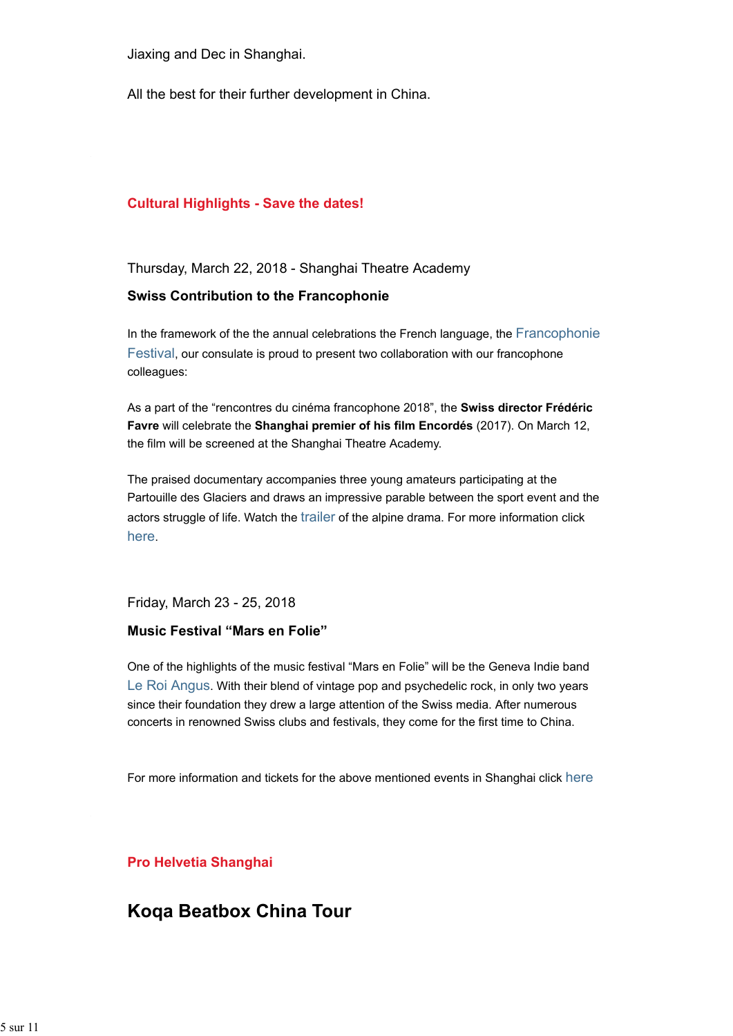Jiaxing and Dec in Shanghai.

All the best for their further development in China.

#### **Cultural Highlights - Save the dates!**

Thursday, March 22, 2018 - Shanghai Theatre Academy

#### **Swiss Contribution to the Francophonie**

In the framework of the the annual celebrations the French language, the Francophonie Festival, our consulate is proud to present two collaboration with our francophone colleagues:

As a part of the "rencontres du cinéma francophone 2018", the **Swiss director Frédéric Favre** will celebrate the **Shanghai premier of his film Encordés** (2017). On March 12, the film will be screened at the Shanghai Theatre Academy.

The praised documentary accompanies three young amateurs participating at the Partouille des Glaciers and draws an impressive parable between the sport event and the actors struggle of life. Watch the trailer of the alpine drama. For more information click here.

Friday, March 23 - 25, 2018

#### **Music Festival "Mars en Folie"**

One of the highlights of the music festival "Mars en Folie" will be the Geneva Indie band Le Roi Angus. With their blend of vintage pop and psychedelic rock, in only two years since their foundation they drew a large attention of the Swiss media. After numerous concerts in renowned Swiss clubs and festivals, they come for the first time to China.

For more information and tickets for the above mentioned events in Shanghai click here

**Pro Helvetia Shanghai**

## **Koqa Beatbox China Tour**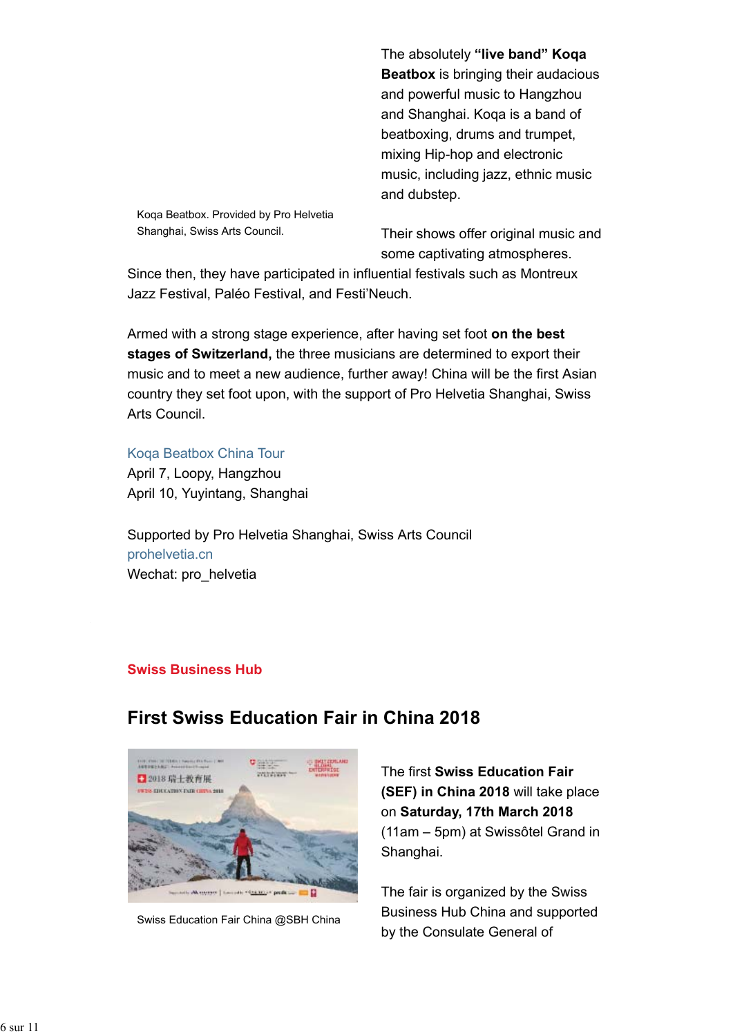The absolutely **"live band" Koqa Beatbox** is bringing their audacious and powerful music to Hangzhou and Shanghai. Koqa is a band of beatboxing, drums and trumpet, mixing Hip-hop and electronic music, including jazz, ethnic music and dubstep.

Koqa Beatbox. Provided by Pro Helvetia Shanghai, Swiss Arts Council.

Their shows offer original music and some captivating atmospheres.

Since then, they have participated in influential festivals such as Montreux Jazz Festival, Paléo Festival, and Festi'Neuch.

Armed with a strong stage experience, after having set foot **on the best stages of Switzerland,** the three musicians are determined to export their music and to meet a new audience, further away! China will be the first Asian country they set foot upon, with the support of Pro Helvetia Shanghai, Swiss Arts Council.

Koqa Beatbox China Tour

April 7, Loopy, Hangzhou April 10, Yuyintang, Shanghai

Supported by Pro Helvetia Shanghai, Swiss Arts Council prohelvetia.cn Wechat: pro\_helvetia

**First Swiss Education Fair in China 2018**

### **Swiss Business Hub**



Swiss Education Fair China @SBH China

## The first **Swiss Education Fair (SEF) in China 2018** will take place on **Saturday, 17th March 2018** (11am – 5pm) at Swissôtel Grand in Shanghai.

The fair is organized by the Swiss Business Hub China and supported by the Consulate General of

#### 6 sur 11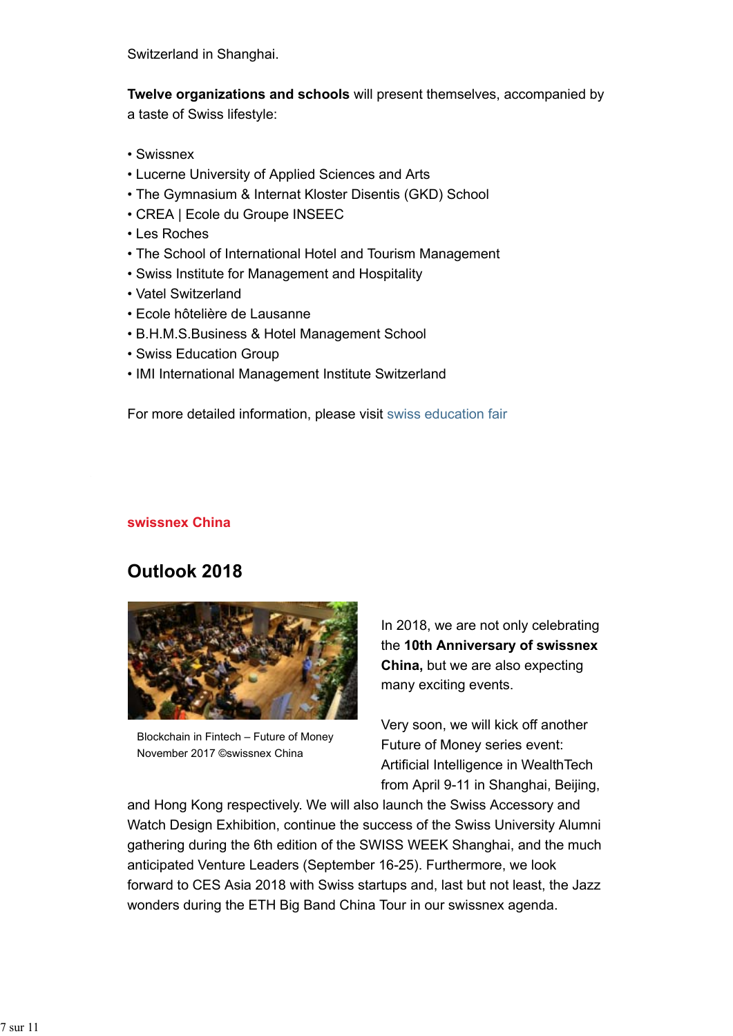Switzerland in Shanghai.

**Twelve organizations and schools** will present themselves, accompanied by a taste of Swiss lifestyle:

- Swissnex
- Lucerne University of Applied Sciences and Arts
- The Gymnasium & Internat Kloster Disentis (GKD) School
- CREA | Ecole du Groupe INSEEC
- Les Roches
- The School of International Hotel and Tourism Management
- Swiss Institute for Management and Hospitality
- Vatel Switzerland
- Ecole hôtelière de Lausanne
- B.H.M.S.Business & Hotel Management School
- Swiss Education Group
- IMI International Management Institute Switzerland

For more detailed information, please visit swiss education fair

### **swissnex China**

# **Outlook 2018**



Blockchain in Fintech – Future of Money November 2017 ©swissnex China

In 2018, we are not only celebrating the **10th Anniversary of swissnex China,** but we are also expecting many exciting events.

Very soon, we will kick off another Future of Money series event: Artificial Intelligence in WealthTech from April 9-11 in Shanghai, Beijing,

and Hong Kong respectively. We will also launch the Swiss Accessory and Watch Design Exhibition, continue the success of the Swiss University Alumni gathering during the 6th edition of the SWISS WEEK Shanghai, and the much anticipated Venture Leaders (September 16-25). Furthermore, we look forward to CES Asia 2018 with Swiss startups and, last but not least, the Jazz wonders during the ETH Big Band China Tour in our swissnex agenda.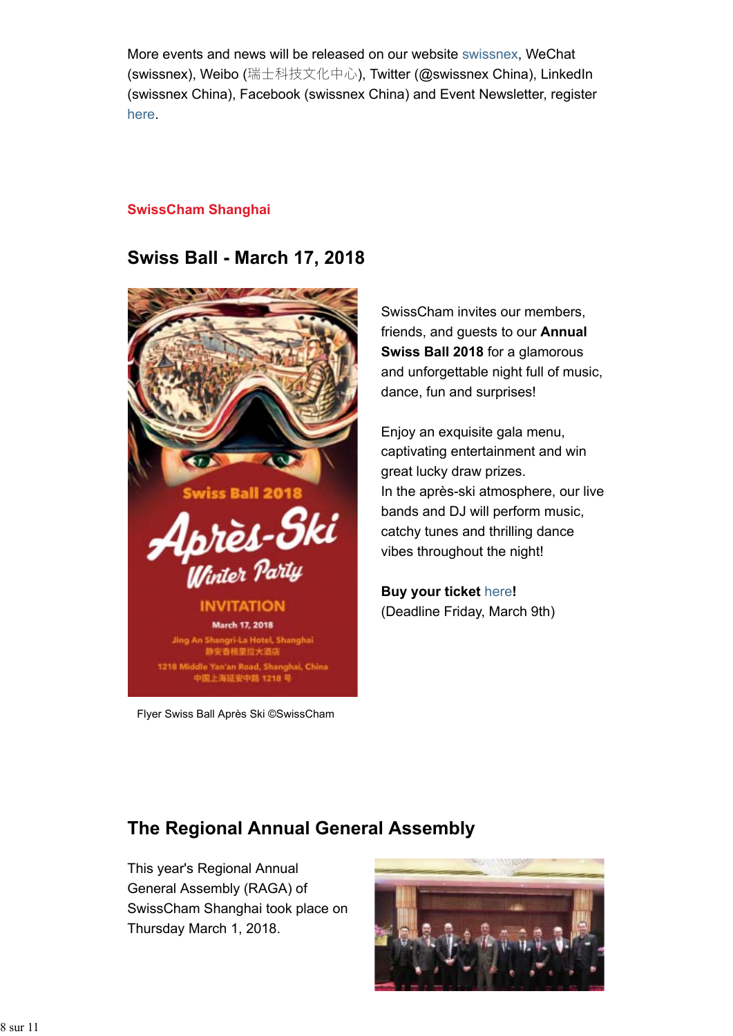More events and news will be released on our website swissnex, WeChat (swissnex), Weibo (瑞士科技文化中心), Twitter (@swissnex China), LinkedIn (swissnex China), Facebook (swissnex China) and Event Newsletter, register here.

### **SwissCham Shanghai**

## **Swiss Ball - March 17, 2018**



Flyer Swiss Ball Après Ski ©SwissCham

SwissCham invites our members, friends, and guests to our **Annual Swiss Ball 2018** for a glamorous and unforgettable night full of music, dance, fun and surprises!

Enjoy an exquisite gala menu, captivating entertainment and win great lucky draw prizes. In the après-ski atmosphere, our live bands and DJ will perform music, catchy tunes and thrilling dance vibes throughout the night!

**Buy your ticket** here**!** (Deadline Friday, March 9th)

# **The Regional Annual General Assembly**

This year's Regional Annual General Assembly (RAGA) of SwissCham Shanghai took place on Thursday March 1, 2018.

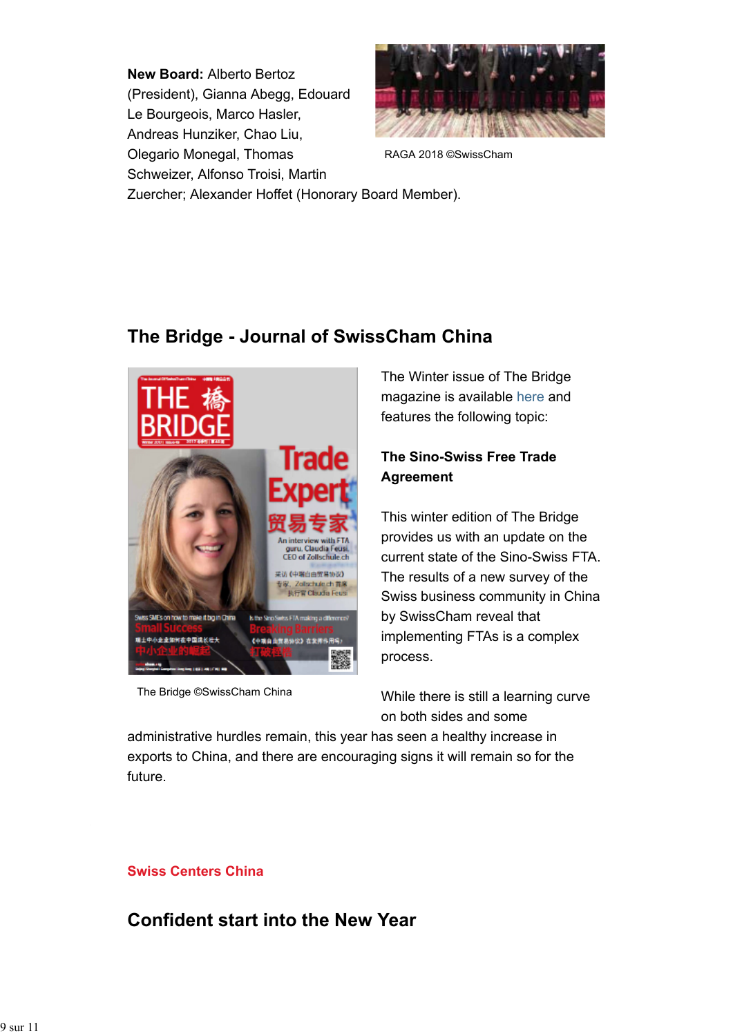**New Board:** Alberto Bertoz (President), Gianna Abegg, Edouard Le Bourgeois, Marco Hasler, Andreas Hunziker, Chao Liu, Olegario Monegal, Thomas Schweizer, Alfonso Troisi, Martin



RAGA 2018 ©SwissCham

Zuercher; Alexander Hoffet (Honorary Board Member).

# **The Bridge - Journal of SwissCham China**



The Bridge ©SwissCham China

The Winter issue of The Bridge magazine is available here and features the following topic:

## **The Sino-Swiss Free Trade Agreement**

This winter edition of The Bridge provides us with an update on the current state of the Sino-Swiss FTA. The results of a new survey of the Swiss business community in China by SwissCham reveal that implementing FTAs is a complex process.

While there is still a learning curve on both sides and some

administrative hurdles remain, this year has seen a healthy increase in exports to China, and there are encouraging signs it will remain so for the future.

## **Swiss Centers China**

# **Confident start into the New Year**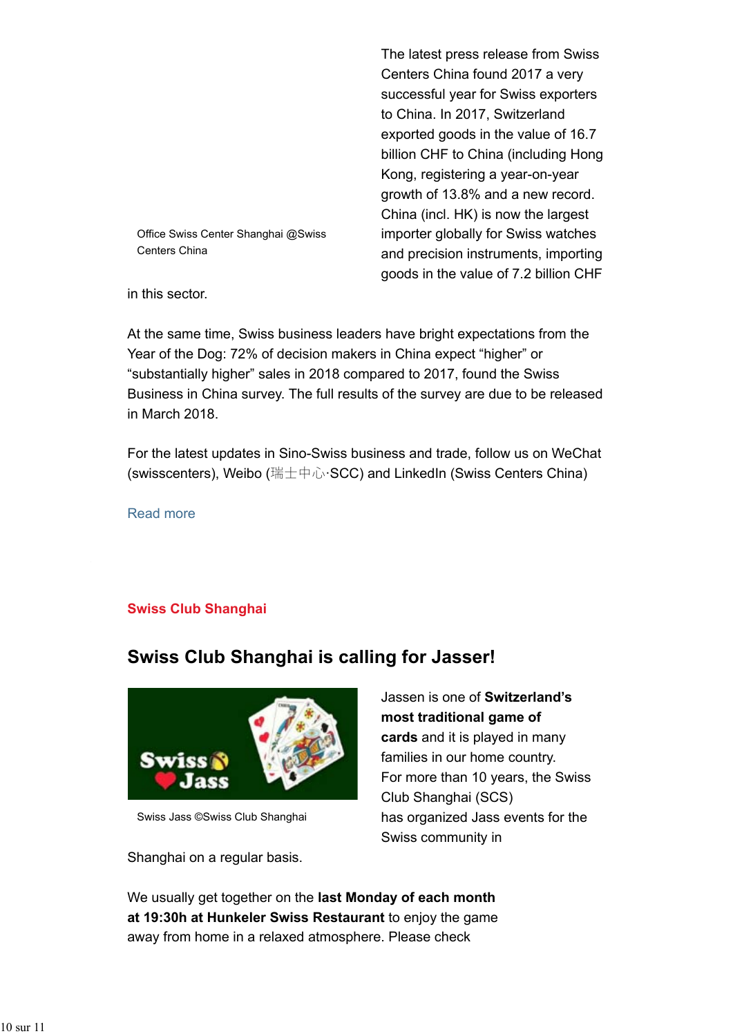Centers China found 2017 a very successful year for Swiss exporters to China. In 2017, Switzerland exported goods in the value of 16.7 billion CHF to China (including Hong Kong, registering a year-on-year growth of 13.8% and a new record. China (incl. HK) is now the largest importer globally for Swiss watches and precision instruments, importing goods in the value of 7.2 billion CHF

The latest press release from Swiss

Office Swiss Center Shanghai @Swiss Centers China

in this sector.

At the same time, Swiss business leaders have bright expectations from the Year of the Dog: 72% of decision makers in China expect "higher" or "substantially higher" sales in 2018 compared to 2017, found the Swiss Business in China survey. The full results of the survey are due to be released in March 2018.

For the latest updates in Sino-Swiss business and trade, follow us on WeChat (swisscenters), Weibo (瑞士中心·SCC) and LinkedIn (Swiss Centers China)

Read more

### **Swiss Club Shanghai**

# **Swiss Club Shanghai is calling for Jasser!**



Swiss Jass ©Swiss Club Shanghai

Shanghai on a regular basis.

Jassen is one of **Switzerland's most traditional game of cards** and it is played in many families in our home country. For more than 10 years, the Swiss Club Shanghai (SCS) has organized Jass events for the Swiss community in

We usually get together on the **last Monday of each month at 19:30h at Hunkeler Swiss Restaurant** to enjoy the game away from home in a relaxed atmosphere. Please check